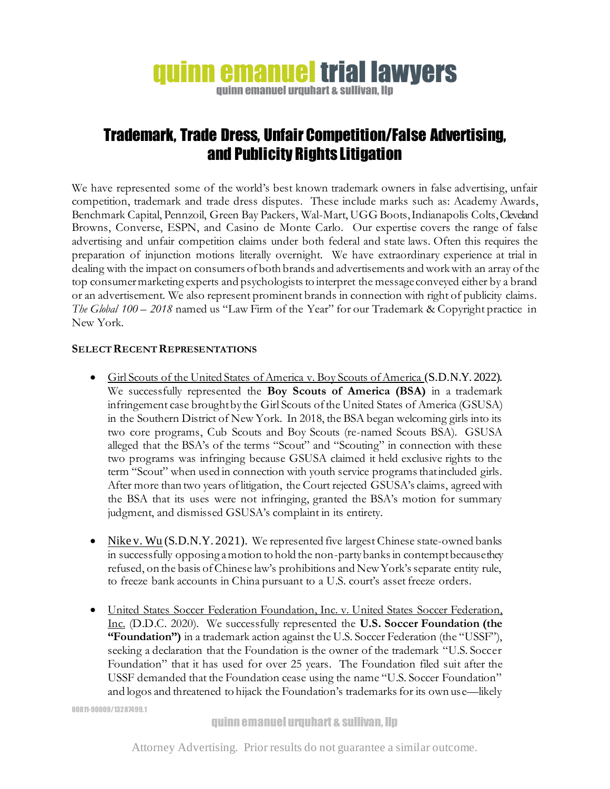## **quinn emanuel trial lawyers**

quinn emanuel urquhart & sullivan. Ilp

## Trademark, Trade Dress, Unfair Competition/False Advertising, and Publicity Rights Litigation

We have represented some of the world's best known trademark owners in false advertising, unfair competition, trademark and trade dress disputes. These include marks such as: Academy Awards, Benchmark Capital, Pennzoil, Green Bay Packers, Wal-Mart, UGG Boots, Indianapolis Colts, Cleveland Browns, Converse, ESPN, and Casino de Monte Carlo. Our expertise covers the range of false advertising and unfair competition claims under both federal and state laws. Often this requires the preparation of injunction motions literally overnight. We have extraordinary experience at trial in dealing with the impact on consumers of both brands and advertisements and work with an array of the top consumer marketing experts and psychologists to interpret the message conveyed either by a brand or an advertisement. We also represent prominent brands in connection with right of publicity claims. *The Global 100 – 2018* named us "Law Firm of the Year" for our Trademark & Copyright practice in New York.

## **SELECT RECENT REPRESENTATIONS**

- Girl Scouts of the United States of America v. Boy Scouts of America (S.D.N.Y. 2022). We successfully represented the **Boy Scouts of America (BSA)** in a trademark infringement case brought by the Girl Scouts of the United States of America (GSUSA) in the Southern District of New York. In 2018, the BSA began welcoming girls into its two core programs, Cub Scouts and Boy Scouts (re-named Scouts BSA). GSUSA alleged that the BSA's of the terms "Scout" and "Scouting" in connection with these two programs was infringing because GSUSA claimed it held exclusive rights to the term "Scout" when used in connection with youth service programs that included girls. After more than two years of litigation, the Court rejected GSUSA's claims, agreed with the BSA that its uses were not infringing, granted the BSA's motion for summary judgment, and dismissed GSUSA's complaint in its entirety.
- Nike v. Wu (S.D.N.Y. 2021). We represented five largest Chinese state-owned banks in successfully opposing a motion to hold the non-party banks in contempt because they refused, on the basis of Chinese law's prohibitions and New York's separate entity rule, to freeze bank accounts in China pursuant to a U.S. court's asset freeze orders.
- United States Soccer Federation Foundation, Inc. v. United States Soccer Federation, Inc. (D.D.C. 2020). We successfully represented the **U.S. Soccer Foundation (the "Foundation")** in a trademark action against the U.S. Soccer Federation (the "USSF"), seeking a declaration that the Foundation is the owner of the trademark "U.S. Soccer Foundation" that it has used for over 25 years. The Foundation filed suit after the USSF demanded that the Foundation cease using the name "U.S. Soccer Foundation" and logos and threatened to hijack the Foundation's trademarks for its own use—likely

00811-90009/13287499.1

Attorney Advertising. Prior results do not guarantee a similar outcome.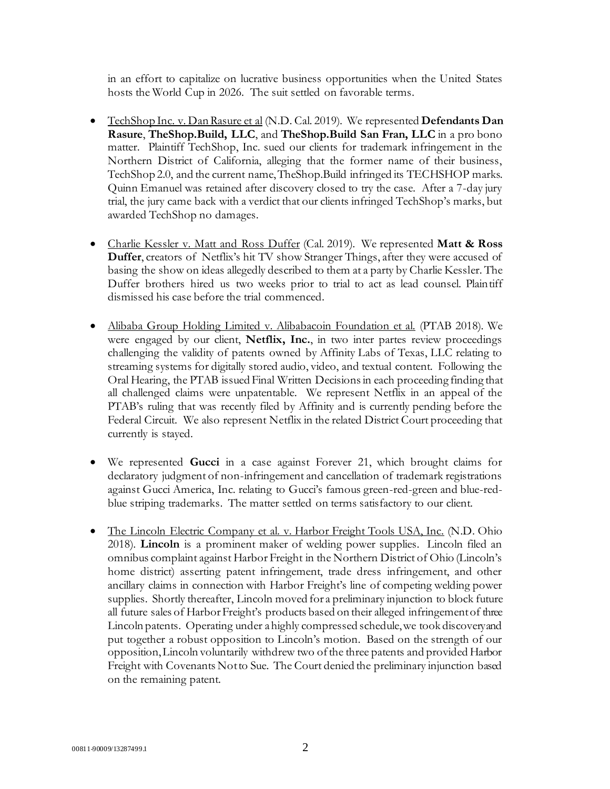in an effort to capitalize on lucrative business opportunities when the United States hosts the World Cup in 2026. The suit settled on favorable terms.

- TechShop Inc. v. Dan Rasure et al (N.D. Cal. 2019). We represented **Defendants Dan Rasure**, **TheShop.Build, LLC**, and **TheShop.Build San Fran, LLC** in a pro bono matter. Plaintiff TechShop, Inc. sued our clients for trademark infringement in the Northern District of California, alleging that the former name of their business, TechShop 2.0, and the current name, TheShop.Build infringed its TECHSHOP marks. Quinn Emanuel was retained after discovery closed to try the case. After a 7-day jury trial, the jury came back with a verdict that our clients infringed TechShop's marks, but awarded TechShop no damages.
- Charlie Kessler v. Matt and Ross Duffer (Cal. 2019). We represented **Matt & Ross Duffer**, creators of Netflix's hit TV show Stranger Things, after they were accused of basing the show on ideas allegedly described to them at a party by Charlie Kessler. The Duffer brothers hired us two weeks prior to trial to act as lead counsel. Plaintiff dismissed his case before the trial commenced.
- Alibaba Group Holding Limited v. Alibabacoin Foundation et al. (PTAB 2018). We were engaged by our client, **Netflix**, Inc., in two inter partes review proceedings challenging the validity of patents owned by Affinity Labs of Texas, LLC relating to streaming systems for digitally stored audio, video, and textual content. Following the Oral Hearing, the PTAB issued Final Written Decisions in each proceeding finding that all challenged claims were unpatentable. We represent Netflix in an appeal of the PTAB's ruling that was recently filed by Affinity and is currently pending before the Federal Circuit. We also represent Netflix in the related District Court proceeding that currently is stayed.
- We represented **Gucci** in a case against Forever 21, which brought claims for declaratory judgment of non-infringement and cancellation of trademark registrations against Gucci America, Inc. relating to Gucci's famous green-red-green and blue-redblue striping trademarks. The matter settled on terms satisfactory to our client.
- The Lincoln Electric Company et al. v. Harbor Freight Tools USA, Inc. (N.D. Ohio 2018). **Lincoln** is a prominent maker of welding power supplies. Lincoln filed an omnibus complaint against Harbor Freight in the Northern District of Ohio (Lincoln's home district) asserting patent infringement, trade dress infringement, and other ancillary claims in connection with Harbor Freight's line of competing welding power supplies. Shortly thereafter, Lincoln moved for a preliminary injunction to block future all future sales of Harbor Freight's products based on their alleged infringement of three Lincoln patents. Operating under a highly compressed schedule, we took discovery and put together a robust opposition to Lincoln's motion. Based on the strength of our opposition, Lincoln voluntarily withdrew two of the three patents and provided Harbor Freight with Covenants Not to Sue. The Court denied the preliminary injunction based on the remaining patent.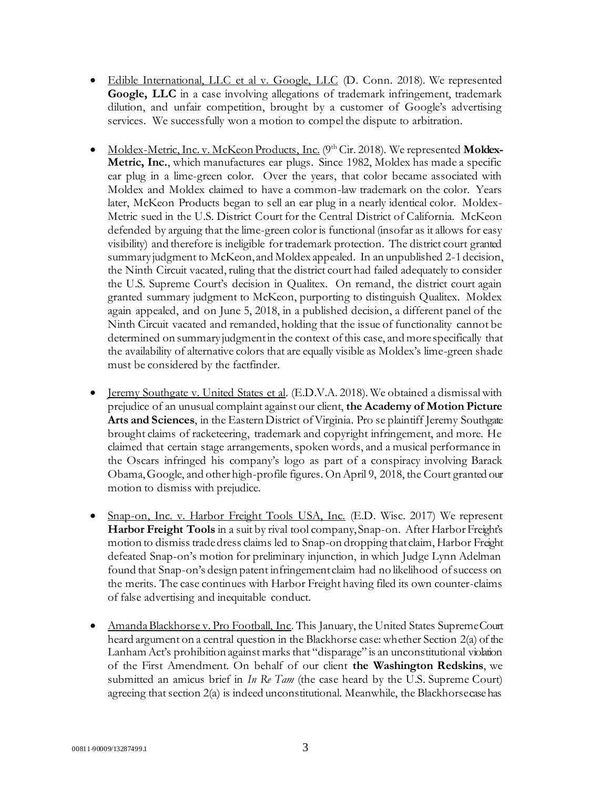- Edible International, LLC et al v. Google, LLC (D. Conn. 2018). We represented **Google, LLC** in a case involving allegations of trademark infringement, trademark dilution, and unfair competition, brought by a customer of Google's advertising services. We successfully won a motion to compel the dispute to arbitration.
- Moldex-Metric, Inc. v. McKeon Products, Inc. (9th Cir. 2018). We represented **Moldex-Metric, Inc.**, which manufactures ear plugs. Since 1982, Moldex has made a specific ear plug in a lime-green color. Over the years, that color became associated with Moldex and Moldex claimed to have a common-law trademark on the color. Years later, McKeon Products began to sell an ear plug in a nearly identical color. Moldex-Metric sued in the U.S. District Court for the Central District of California. McKeon defended by arguing that the lime-green color is functional (insofar as it allows for easy visibility) and therefore is ineligible for trademark protection. The district court granted summary judgment to McKeon, and Moldex appealed. In an unpublished 2-1 decision, the Ninth Circuit vacated, ruling that the district court had failed adequately to consider the U.S. Supreme Court's decision in Qualitex. On remand, the district court again granted summary judgment to McKeon, purporting to distinguish Qualitex. Moldex again appealed, and on June 5, 2018, in a published decision, a different panel of the Ninth Circuit vacated and remanded, holding that the issue of functionality cannot be determined on summary judgment in the context of this case, and more specifically that the availability of alternative colors that are equally visible as Moldex's lime-green shade must be considered by the factfinder.
- <u>Jeremy Southgate v. United States et al</u>. (E.D.V.A. 2018). We obtained a dismissal with prejudice of an unusual complaint against our client, **the Academy of Motion Picture Arts and Sciences**, in the Eastern District of Virginia. Pro se plaintiff Jeremy Southgate brought claims of racketeering, trademark and copyright infringement, and more. He claimed that certain stage arrangements, spoken words, and a musical performance in the Oscars infringed his company's logo as part of a conspiracy involving Barack Obama, Google, and other high-profile figures. On April 9, 2018, the Court granted our motion to dismiss with prejudice.
- Snap-on, Inc. v. Harbor Freight Tools USA, Inc. (E.D. Wisc. 2017) We represent **Harbor Freight Tools** in a suit by rival tool company, Snap-on. After Harbor Freight's motion to dismiss trade dress claims led to Snap-on dropping that claim, Harbor Freight defeated Snap-on's motion for preliminary injunction, in which Judge Lynn Adelman found that Snap-on's design patent infringement claim had no likelihood of success on the merits. The case continues with Harbor Freight having filed its own counter-claims of false advertising and inequitable conduct.
- Amanda Blackhorse v. Pro Football, Inc. This January, the United States Supreme Court heard argument on a central question in the Blackhorse case: whether Section 2(a) of the Lanham Act's prohibition against marks that "disparage" is an unconstitutional violation of the First Amendment. On behalf of our client **the Washington Redskins**, we submitted an amicus brief in *In Re Tam* (the case heard by the U.S. Supreme Court) agreeing that section 2(a) is indeed unconstitutional. Meanwhile, the Blackhorse case has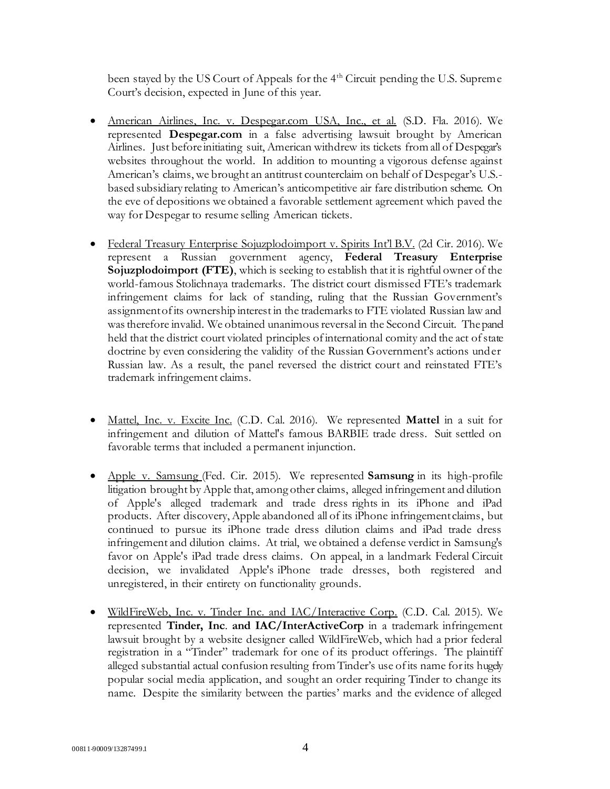been stayed by the US Court of Appeals for the 4<sup>th</sup> Circuit pending the U.S. Supreme Court's decision, expected in June of this year.

- American Airlines, Inc. v. Despegar.com USA, Inc., et al. (S.D. Fla. 2016). We represented **Despegar.com** in a false advertising lawsuit brought by American Airlines. Just before initiating suit, American withdrew its tickets from all of Despegar's websites throughout the world. In addition to mounting a vigorous defense against American's claims, we brought an antitrust counterclaim on behalf of Despegar's U.S. based subsidiary relating to American's anticompetitive air fare distribution scheme. On the eve of depositions we obtained a favorable settlement agreement which paved the way for Despegar to resume selling American tickets.
- Federal Treasury Enterprise Sojuzplodoimport v. Spirits Int'l B.V. (2d Cir. 2016). We represent a Russian government agency, **Federal Treasury Enterprise Sojuzplodoimport (FTE)**, which is seeking to establish that it is rightful owner of the world-famous Stolichnaya trademarks. The district court dismissed FTE's trademark infringement claims for lack of standing, ruling that the Russian Government's assignment of its ownership interest in the trademarks to FTE violated Russian law and was therefore invalid. We obtained unanimous reversal in the Second Circuit. The panel held that the district court violated principles of international comity and the act of state doctrine by even considering the validity of the Russian Government's actions under Russian law. As a result, the panel reversed the district court and reinstated FTE's trademark infringement claims.
- Mattel, Inc. v. Excite Inc. (C.D. Cal. 2016). We represented **Mattel** in a suit for infringement and dilution of Mattel's famous BARBIE trade dress. Suit settled on favorable terms that included a permanent injunction.
- Apple v. Samsung (Fed. Cir. 2015). We represented **Samsung** in its high-profile litigation brought by Apple that, among other claims, alleged infringement and dilution of Apple's alleged trademark and trade dress rights in its iPhone and iPad products. After discovery, Apple abandoned all of its iPhone infringement claims, but continued to pursue its iPhone trade dress dilution claims and iPad trade dress infringement and dilution claims. At trial, we obtained a defense verdict in Samsung's favor on Apple's iPad trade dress claims. On appeal, in a landmark Federal Circuit decision, we invalidated Apple's iPhone trade dresses, both registered and unregistered, in their entirety on functionality grounds.
- WildFireWeb, Inc. v. Tinder Inc. and IAC/Interactive Corp. (C.D. Cal. 2015). We represented **Tinder, Inc**. **and IAC/InterActiveCorp** in a trademark infringement lawsuit brought by a website designer called WildFireWeb, which had a prior federal registration in a "Tinder" trademark for one of its product offerings. The plaintiff alleged substantial actual confusion resulting from Tinder's use of its name for its hugely popular social media application, and sought an order requiring Tinder to change its name. Despite the similarity between the parties' marks and the evidence of alleged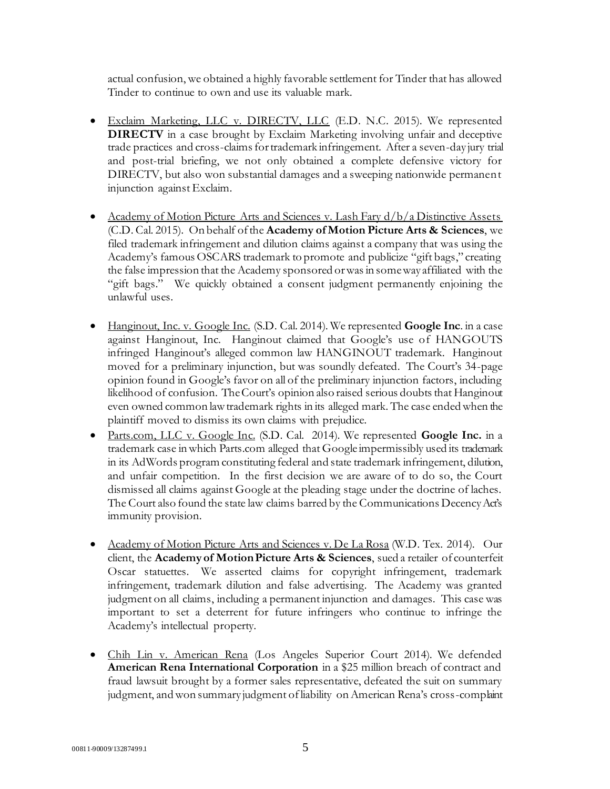actual confusion, we obtained a highly favorable settlement for Tinder that has allowed Tinder to continue to own and use its valuable mark.

- Exclaim Marketing, LLC v. DIRECTV, LLC (E.D. N.C. 2015). We represented **DIRECTV** in a case brought by Exclaim Marketing involving unfair and deceptive trade practices and cross-claims for trademark infringement. After a seven-day jury trial and post-trial briefing, we not only obtained a complete defensive victory for DIRECTV, but also won substantial damages and a sweeping nationwide permanent injunction against Exclaim.
- Academy of Motion Picture Arts and Sciences v. Lash Fary  $d/b/a$  Distinctive Assets (C.D. Cal. 2015). On behalf of the **Academy of Motion Picture Arts & Sciences**, we filed trademark infringement and dilution claims against a company that was using the Academy's famous OSCARS trademark to promote and publicize "gift bags," creating the false impression that the Academy sponsored or was in some way affiliated with the "gift bags." We quickly obtained a consent judgment permanently enjoining the unlawful uses.
- Hanginout, Inc. v. Google Inc. (S.D. Cal. 2014). We represented **Google Inc**. in a case against Hanginout, Inc. Hanginout claimed that Google's use of HANGOUTS infringed Hanginout's alleged common law HANGINOUT trademark. Hanginout moved for a preliminary injunction, but was soundly defeated. The Court's 34-page opinion found in Google's favor on all of the preliminary injunction factors, including likelihood of confusion. The Court's opinion also raised serious doubts that Hanginout even owned common law trademark rights in its alleged mark. The case ended when the plaintiff moved to dismiss its own claims with prejudice.
- Parts.com, LLC v. Google Inc. (S.D. Cal. 2014). We represented **Google Inc.** in a trademark case in which Parts.com alleged that Google impermissibly used its trademark in its AdWords program constituting federal and state trademark infringement, dilution, and unfair competition. In the first decision we are aware of to do so, the Court dismissed all claims against Google at the pleading stage under the doctrine of laches. The Court also found the state law claims barred by the Communications Decency Act's immunity provision.
- Academy of Motion Picture Arts and Sciences v. De La Rosa (W.D. Tex. 2014). Our client, the **Academy of Motion Picture Arts & Sciences**, sued a retailer of counterfeit Oscar statuettes. We asserted claims for copyright infringement, trademark infringement, trademark dilution and false advertising. The Academy was granted judgment on all claims, including a permanent injunction and damages. This case was important to set a deterrent for future infringers who continue to infringe the Academy's intellectual property.
- Chih Lin v. American Rena (Los Angeles Superior Court 2014). We defended **American Rena International Corporation** in a \$25 million breach of contract and fraud lawsuit brought by a former sales representative, defeated the suit on summary judgment, and won summary judgment of liability on American Rena's cross-complaint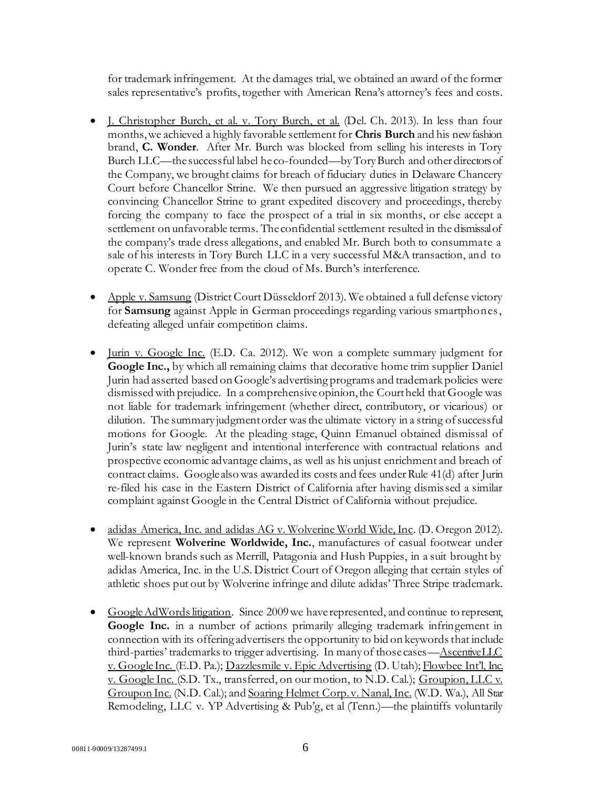for trademark infringement. At the damages trial, we obtained an award of the former sales representative's profits, together with American Rena's attorney's fees and costs.

- J. Christopher Burch, et al. v. Tory Burch, et al. (Del. Ch. 2013). In less than four months,we achieved a highly favorable settlement for **Chris Burch** and his new fashion brand, **C. Wonder**. After Mr. Burch was blocked from selling his interests in Tory Burch LLC—the successful label he co-founded—by Tory Burch and other directors of the Company, we brought claims for breach of fiduciary duties in Delaware Chancery Court before Chancellor Strine. We then pursued an aggressive litigation strategy by convincing Chancellor Strine to grant expedited discovery and proceedings, thereby forcing the company to face the prospect of a trial in six months, or else accept a settlement on unfavorable terms. The confidential settlement resulted in the dismissal of the company's trade dress allegations, and enabled Mr. Burch both to consummate a sale of his interests in Tory Burch LLC in a very successful M&A transaction, and to operate C. Wonder free from the cloud of Ms. Burch's interference.
- Apple v. Samsung (District Court Düsseldorf 2013). We obtained a full defense victory for **Samsung** against Apple in German proceedings regarding various smartphones, defeating alleged unfair competition claims.
- Jurin v. Google Inc. (E.D. Ca. 2012). We won a complete summary judgment for Google Inc., by which all remaining claims that decorative home trim supplier Daniel Jurin had asserted based on Google's advertising programs and trademark policies were dismissed with prejudice. In a comprehensive opinion, the Court held that Google was not liable for trademark infringement (whether direct, contributory, or vicarious) or dilution. The summary judgment order was the ultimate victory in a string of successful motions for Google. At the pleading stage, Quinn Emanuel obtained dismissal of Jurin's state law negligent and intentional interference with contractual relations and prospective economic advantage claims, as well as his unjust enrichment and breach of contract claims. Google also was awarded its costs and fees under Rule 41(d) after Jurin re-filed his case in the Eastern District of California after having dismissed a similar complaint against Google in the Central District of California without prejudice.
- adidas America, Inc. and adidas AG v. Wolverine World Wide, Inc. (D. Oregon 2012). We represent **Wolverine Worldwide, Inc.**, manufactures of casual footwear under well-known brands such as Merrill, Patagonia and Hush Puppies, in a suit brought by adidas America, Inc. in the U.S. District Court of Oregon alleging that certain styles of athletic shoes put out by Wolverine infringe and dilute adidas' Three Stripe trademark.
- Google AdWords litigation. Since 2009 we have represented, and continue to represent, **Google Inc.** in a number of actions primarily alleging trademark infringement in connection with its offering advertisers the opportunity to bid on keywords that include third-parties' trademarks to trigger advertising. In many of those cases—Ascentive LLC v. Google Inc. (E.D. Pa.); Dazzlesmile v. Epic Advertising (D. Utah); Flowbee Int'l, Inc. v. Google Inc. (S.D. Tx., transferred, on our motion, to N.D. Cal.); Groupion, LLC v. Groupon Inc. (N.D. Cal.); and Soaring Helmet Corp. v. Nanal, Inc. (W.D. Wa.), All Star Remodeling, LLC v. YP Advertising & Pub'g, et al (Tenn.)—the plaintiffs voluntarily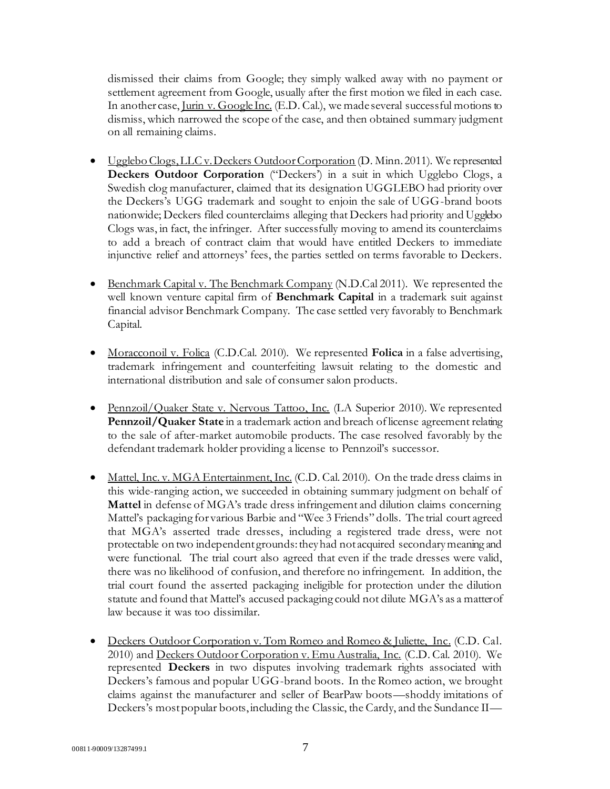dismissed their claims from Google; they simply walked away with no payment or settlement agreement from Google, usually after the first motion we filed in each case. In another case, Jurin v. Google Inc. (E.D. Cal.), we made several successful motions to dismiss, which narrowed the scope of the case, and then obtained summary judgment on all remaining claims.

- Ugglebo Clogs, LLC v. Deckers Outdoor Corporation (D. Minn. 2011). We represented **Deckers Outdoor Corporation** ("Deckers') in a suit in which Ugglebo Clogs, a Swedish clog manufacturer, claimed that its designation UGGLEBO had priority over the Deckers's UGG trademark and sought to enjoin the sale of UGG-brand boots nationwide; Deckers filed counterclaims alleging that Deckers had priority and Ugglebo Clogs was, in fact, the infringer. After successfully moving to amend its counterclaims to add a breach of contract claim that would have entitled Deckers to immediate injunctive relief and attorneys' fees, the parties settled on terms favorable to Deckers.
- Benchmark Capital v. The Benchmark Company (N.D.Cal 2011). We represented the well known venture capital firm of **Benchmark Capital** in a trademark suit against financial advisor Benchmark Company. The case settled very favorably to Benchmark Capital.
- Moracconoil v. Folica (C.D.Cal. 2010). We represented **Folica** in a false advertising, trademark infringement and counterfeiting lawsuit relating to the domestic and international distribution and sale of consumer salon products.
- Pennzoil/Quaker State v. Nervous Tattoo, Inc. (LA Superior 2010). We represented **Pennzoil/Quaker State** in a trademark action and breach of license agreement relating to the sale of after-market automobile products. The case resolved favorably by the defendant trademark holder providing a license to Pennzoil's successor.
- Mattel, Inc. v. MGA Entertainment, Inc. (C.D. Cal. 2010). On the trade dress claims in this wide-ranging action, we succeeded in obtaining summary judgment on behalf of **Mattel** in defense of MGA's trade dress infringement and dilution claims concerning Mattel's packaging for various Barbie and "Wee 3 Friends" dolls. The trial court agreed that MGA's asserted trade dresses, including a registered trade dress, were not protectable on two independent grounds: they had not acquired secondary meaning and were functional. The trial court also agreed that even if the trade dresses were valid, there was no likelihood of confusion, and therefore no infringement. In addition, the trial court found the asserted packaging ineligible for protection under the dilution statute and found that Mattel's accused packaging could not dilute MGA's as a matter of law because it was too dissimilar.
- Deckers Outdoor Corporation v. Tom Romeo and Romeo & Juliette, Inc. (C.D. Cal. 2010) and Deckers Outdoor Corporation v. Emu Australia, Inc. (C.D. Cal. 2010). We represented **Deckers** in two disputes involving trademark rights associated with Deckers's famous and popular UGG-brand boots. In the Romeo action, we brought claims against the manufacturer and seller of BearPaw boots—shoddy imitations of Deckers's most popular boots, including the Classic, the Cardy, and the Sundance II—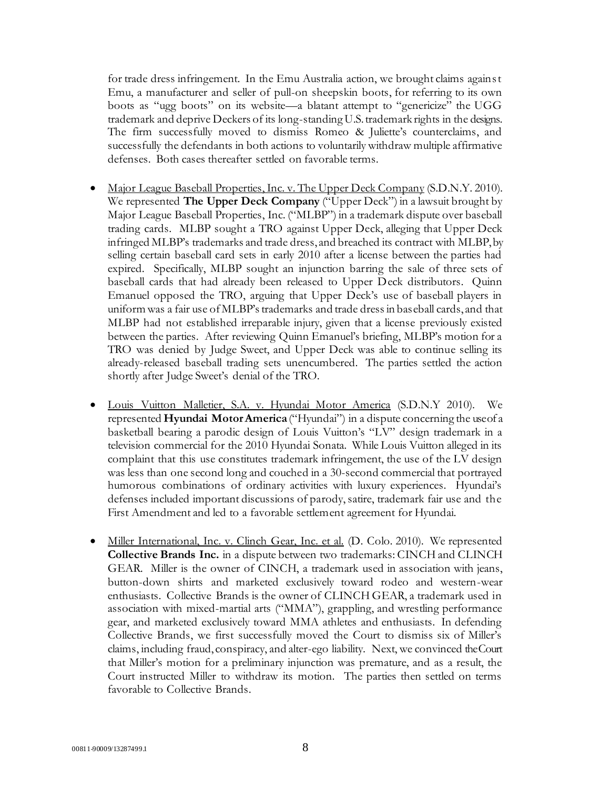for trade dress infringement. In the Emu Australia action, we brought claims against Emu, a manufacturer and seller of pull-on sheepskin boots, for referring to its own boots as "ugg boots" on its website—a blatant attempt to "genericize" the UGG trademark and deprive Deckers of its long-standing U.S. trademark rights in the designs. The firm successfully moved to dismiss Romeo & Juliette's counterclaims, and successfully the defendants in both actions to voluntarily withdraw multiple affirmative defenses. Both cases thereafter settled on favorable terms.

- Major League Baseball Properties, Inc. v. The Upper Deck Company (S.D.N.Y. 2010). We represented **The Upper Deck Company** ("Upper Deck") in a lawsuit brought by Major League Baseball Properties, Inc. ("MLBP") in a trademark dispute over baseball trading cards. MLBP sought a TRO against Upper Deck, alleging that Upper Deck infringed MLBP's trademarks and trade dress, and breached its contract with MLBP, by selling certain baseball card sets in early 2010 after a license between the parties had expired. Specifically, MLBP sought an injunction barring the sale of three sets of baseball cards that had already been released to Upper Deck distributors. Quinn Emanuel opposed the TRO, arguing that Upper Deck's use of baseball players in uniform was a fair use of MLBP's trademarks and trade dress in baseball cards, and that MLBP had not established irreparable injury, given that a license previously existed between the parties. After reviewing Quinn Emanuel's briefing, MLBP's motion for a TRO was denied by Judge Sweet, and Upper Deck was able to continue selling its already-released baseball trading sets unencumbered. The parties settled the action shortly after Judge Sweet's denial of the TRO.
- Louis Vuitton Malletier, S.A. v. Hyundai Motor America (S.D.N.Y 2010). We represented **Hyundai Motor America** ("Hyundai") in a dispute concerning the use of a basketball bearing a parodic design of Louis Vuitton's "LV" design trademark in a television commercial for the 2010 Hyundai Sonata. While Louis Vuitton alleged in its complaint that this use constitutes trademark infringement, the use of the LV design was less than one second long and couched in a 30-second commercial that portrayed humorous combinations of ordinary activities with luxury experiences. Hyundai's defenses included important discussions of parody, satire, trademark fair use and the First Amendment and led to a favorable settlement agreement for Hyundai.
- Miller International, Inc. v. Clinch Gear, Inc. et al. (D. Colo. 2010). We represented **Collective Brands Inc.** in a dispute between two trademarks: CINCH and CLINCH GEAR. Miller is the owner of CINCH, a trademark used in association with jeans, button-down shirts and marketed exclusively toward rodeo and western-wear enthusiasts. Collective Brands is the owner of CLINCH GEAR, a trademark used in association with mixed-martial arts ("MMA"), grappling, and wrestling performance gear, and marketed exclusively toward MMA athletes and enthusiasts. In defending Collective Brands, we first successfully moved the Court to dismiss six of Miller's claims, including fraud, conspiracy, and alter-ego liability. Next, we convinced the Court that Miller's motion for a preliminary injunction was premature, and as a result, the Court instructed Miller to withdraw its motion. The parties then settled on terms favorable to Collective Brands.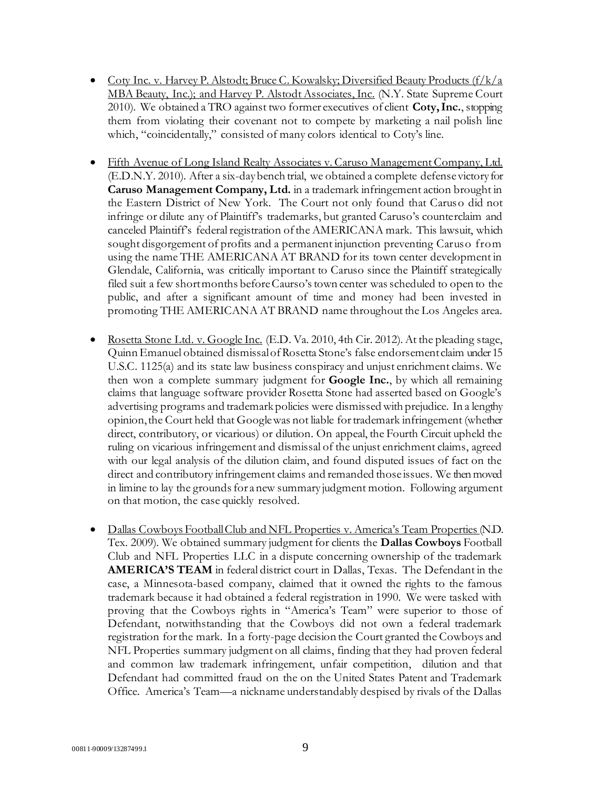- Coty Inc. v. Harvey P. Alstodt; Bruce C. Kowalsky; Diversified Beauty Products  $(f/k/a)$ MBA Beauty, Inc.); and Harvey P. Alstodt Associates, Inc. (N.Y. State Supreme Court 2010). We obtained a TRO against two former executives of client **Coty, Inc.**, stopping them from violating their covenant not to compete by marketing a nail polish line which, "coincidentally," consisted of many colors identical to Coty's line.
- Fifth Avenue of Long Island Realty Associates v. Caruso Management Company, Ltd. (E.D.N.Y. 2010). After a six-day bench trial, we obtained a complete defense victory for **Caruso Management Company, Ltd.** in a trademark infringement action brought in the Eastern District of New York. The Court not only found that Caruso did not infringe or dilute any of Plaintiff's trademarks, but granted Caruso's counterclaim and canceled Plaintiff's federal registration of the AMERICANA mark. This lawsuit, which sought disgorgement of profits and a permanent injunction preventing Caruso from using the name THE AMERICANA AT BRAND for its town center development in Glendale, California, was critically important to Caruso since the Plaintiff strategically filed suit a few short months before Caurso's town center was scheduled to open to the public, and after a significant amount of time and money had been invested in promoting THE AMERICANA AT BRAND name throughout the Los Angeles area.
- Rosetta Stone Ltd. v. Google Inc. (E.D. Va. 2010, 4th Cir. 2012). At the pleading stage, Quinn Emanuel obtained dismissal of Rosetta Stone's false endorsement claim under 15 U.S.C. 1125(a) and its state law business conspiracy and unjust enrichment claims. We then won a complete summary judgment for **Google Inc.**, by which all remaining claims that language software provider Rosetta Stone had asserted based on Google's advertising programs and trademark policies were dismissed with prejudice. In a lengthy opinion, the Court held that Google was not liable for trademark infringement (whether direct, contributory, or vicarious) or dilution. On appeal, the Fourth Circuit upheld the ruling on vicarious infringement and dismissal of the unjust enrichment claims, agreed with our legal analysis of the dilution claim, and found disputed issues of fact on the direct and contributory infringement claims and remanded those issues. We then moved in limine to lay the grounds for a new summary judgment motion. Following argument on that motion, the case quickly resolved.
- Dallas Cowboys Football Club and NFL Properties v. America's Team Properties (N.D. Tex. 2009). We obtained summary judgment for clients the **Dallas Cowboys** Football Club and NFL Properties LLC in a dispute concerning ownership of the trademark **AMERICA'S TEAM** in federal district court in Dallas, Texas. The Defendant in the case, a Minnesota-based company, claimed that it owned the rights to the famous trademark because it had obtained a federal registration in 1990. We were tasked with proving that the Cowboys rights in "America's Team" were superior to those of Defendant, notwithstanding that the Cowboys did not own a federal trademark registration for the mark. In a forty-page decision the Court granted the Cowboys and NFL Properties summary judgment on all claims, finding that they had proven federal and common law trademark infringement, unfair competition, dilution and that Defendant had committed fraud on the on the United States Patent and Trademark Office. America's Team—a nickname understandably despised by rivals of the Dallas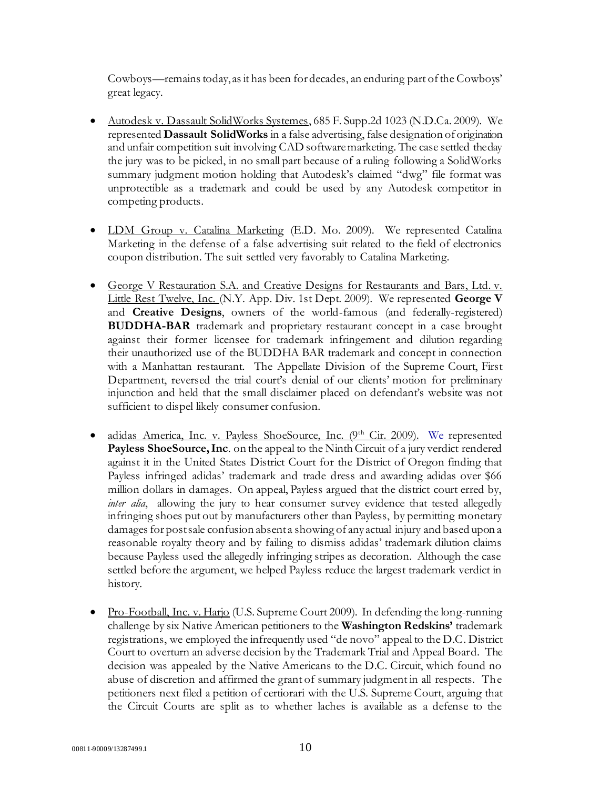Cowboys—remains today, as it has been for decades, an enduring part of the Cowboys' great legacy.

- Autodesk v. Dassault SolidWorks Systemes, 685 F. Supp.2d 1023 (N.D.Ca. 2009). We represented **Dassault SolidWorks** in a false advertising, false designation of origination and unfair competition suit involving CAD software marketing. The case settled the day the jury was to be picked, in no small part because of a ruling following a SolidWorks summary judgment motion holding that Autodesk's claimed "dwg" file format was unprotectible as a trademark and could be used by any Autodesk competitor in competing products.
- LDM Group v. Catalina Marketing (E.D. Mo. 2009). We represented Catalina Marketing in the defense of a false advertising suit related to the field of electronics coupon distribution. The suit settled very favorably to Catalina Marketing.
- George V Restauration S.A. and Creative Designs for Restaurants and Bars, Ltd. v. Little Rest Twelve, Inc. (N.Y. App. Div. 1st Dept. 2009). We represented **George V** and **Creative Designs**, owners of the world-famous (and federally-registered) **BUDDHA-BAR** trademark and proprietary restaurant concept in a case brought against their former licensee for trademark infringement and dilution regarding their unauthorized use of the BUDDHA BAR trademark and concept in connection with a Manhattan restaurant. The Appellate Division of the Supreme Court, First Department, reversed the trial court's denial of our clients' motion for preliminary injunction and held that the small disclaimer placed on defendant's website was not sufficient to dispel likely consumer confusion.
- adidas America, Inc. v. Payless ShoeSource, Inc. (9<sup>th</sup> Cir. 2009). We represented **Payless ShoeSource, Inc**. on the appeal to the Ninth Circuit of a jury verdict rendered against it in the United States District Court for the District of Oregon finding that Payless infringed adidas' trademark and trade dress and awarding adidas over \$66 million dollars in damages. On appeal, Payless argued that the district court erred by, *inter alia*, allowing the jury to hear consumer survey evidence that tested allegedly infringing shoes put out by manufacturers other than Payless, by permitting monetary damages for post sale confusion absent a showing of any actual injury and based upon a reasonable royalty theory and by failing to dismiss adidas' trademark dilution claims because Payless used the allegedly infringing stripes as decoration. Although the case settled before the argument, we helped Payless reduce the largest trademark verdict in history.
- Pro-Football, Inc. v. Harjo (U.S. Supreme Court 2009). In defending the long-running challenge by six Native American petitioners to the **Washington Redskins'** trademark registrations, we employed the infrequently used "de novo" appeal to the D.C. District Court to overturn an adverse decision by the Trademark Trial and Appeal Board. The decision was appealed by the Native Americans to the D.C. Circuit, which found no abuse of discretion and affirmed the grant of summary judgment in all respects. The petitioners next filed a petition of certiorari with the U.S. Supreme Court, arguing that the Circuit Courts are split as to whether laches is available as a defense to the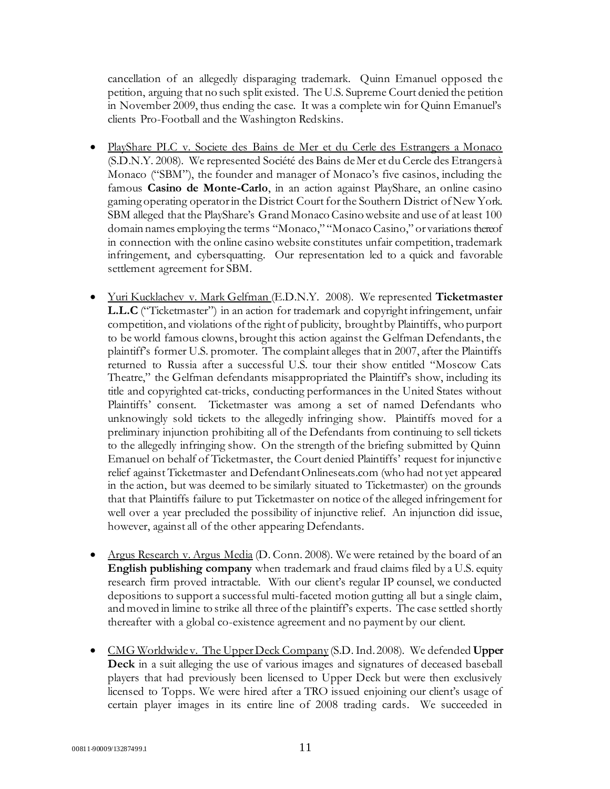cancellation of an allegedly disparaging trademark. Quinn Emanuel opposed the petition, arguing that no such split existed. The U.S. Supreme Court denied the petition in November 2009, thus ending the case. It was a complete win for Quinn Emanuel's clients Pro-Football and the Washington Redskins.

- PlayShare PLC v. Societe des Bains de Mer et du Cerle des Estrangers a Monaco (S.D.N.Y. 2008). We represented Société des Bains de Mer et du Cercle des Etrangers à Monaco ("SBM"), the founder and manager of Monaco's five casinos, including the famous **Casino de Monte-Carlo**, in an action against PlayShare, an online casino gaming operating operator in the District Court for the Southern District of New York. SBM alleged that the PlayShare's Grand Monaco Casino website and use of at least 100 domain names employing the terms "Monaco," "Monaco Casino," or variations thereof in connection with the online casino website constitutes unfair competition, trademark infringement, and cybersquatting. Our representation led to a quick and favorable settlement agreement for SBM.
- Yuri Kucklachev v. Mark Gelfman (E.D.N.Y. 2008). We represented **Ticketmaster L.L.C** ("Ticketmaster") in an action for trademark and copyright infringement, unfair competition, and violations of the right of publicity, brought by Plaintiffs, who purport to be world famous clowns, brought this action against the Gelfman Defendants, the plaintiff's former U.S. promoter. The complaint alleges that in 2007, after the Plaintiffs returned to Russia after a successful U.S. tour their show entitled "Moscow Cats Theatre," the Gelfman defendants misappropriated the Plaintiff's show, including its title and copyrighted cat-tricks, conducting performances in the United States without Plaintiffs' consent. Ticketmaster was among a set of named Defendants who unknowingly sold tickets to the allegedly infringing show. Plaintiffs moved for a preliminary injunction prohibiting all of the Defendants from continuing to sell tickets to the allegedly infringing show. On the strength of the briefing submitted by Quinn Emanuel on behalf of Ticketmaster, the Court denied Plaintiffs' request for injunctive relief against Ticketmaster and Defendant Onlineseats.com (who had not yet appeared in the action, but was deemed to be similarly situated to Ticketmaster) on the grounds that that Plaintiffs failure to put Ticketmaster on notice of the alleged infringement for well over a year precluded the possibility of injunctive relief. An injunction did issue, however, against all of the other appearing Defendants.
- Argus Research v. Argus Media (D. Conn. 2008). We were retained by the board of an **English publishing company** when trademark and fraud claims filed by a U.S. equity research firm proved intractable. With our client's regular IP counsel, we conducted depositions to support a successful multi-faceted motion gutting all but a single claim, and moved in limine to strike all three of the plaintiff's experts. The case settled shortly thereafter with a global co-existence agreement and no payment by our client.
- CMG Worldwide v. The Upper Deck Company (S.D. Ind. 2008). We defended **Upper Deck** in a suit alleging the use of various images and signatures of deceased baseball players that had previously been licensed to Upper Deck but were then exclusively licensed to Topps. We were hired after a TRO issued enjoining our client's usage of certain player images in its entire line of 2008 trading cards. We succeeded in